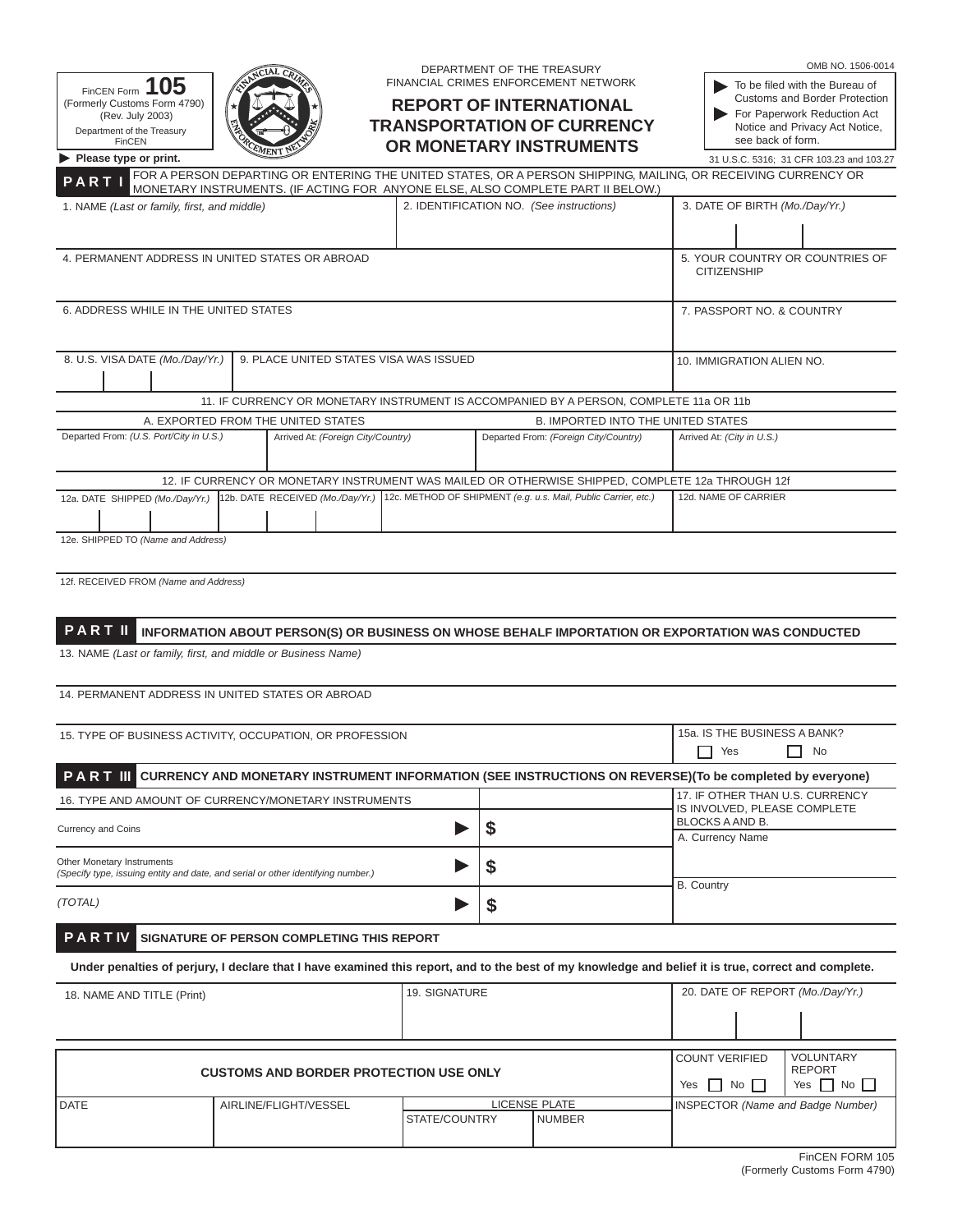|                                                                                                                                                      |                                                                                                                                                                                                  |               | DEPARTMENT OF THE TREASURY |                                                                |                                                 | OMB NO. 1506-0014                                             |  |
|------------------------------------------------------------------------------------------------------------------------------------------------------|--------------------------------------------------------------------------------------------------------------------------------------------------------------------------------------------------|---------------|----------------------------|----------------------------------------------------------------|-------------------------------------------------|---------------------------------------------------------------|--|
| FinCEN Form 105                                                                                                                                      |                                                                                                                                                                                                  |               |                            | FINANCIAL CRIMES ENFORCEMENT NETWORK                           |                                                 | To be filed with the Bureau of                                |  |
| (Formerly Customs Form 4790)                                                                                                                         |                                                                                                                                                                                                  |               |                            | <b>REPORT OF INTERNATIONAL</b>                                 |                                                 | <b>Customs and Border Protection</b>                          |  |
| (Rev. July 2003)                                                                                                                                     |                                                                                                                                                                                                  |               |                            | <b>TRANSPORTATION OF CURRENCY</b>                              |                                                 | For Paperwork Reduction Act<br>Notice and Privacy Act Notice, |  |
| Department of the Treasury<br>FinCEN                                                                                                                 |                                                                                                                                                                                                  |               |                            | OR MONETARY INSTRUMENTS                                        |                                                 | see back of form.                                             |  |
| Please type or print.                                                                                                                                |                                                                                                                                                                                                  |               |                            |                                                                |                                                 | 31 U.S.C. 5316; 31 CFR 103.23 and 103.27                      |  |
| PART                                                                                                                                                 | FOR A PERSON DEPARTING OR ENTERING THE UNITED STATES, OR A PERSON SHIPPING, MAILING, OR RECEIVING CURRENCY OR<br>MONETARY INSTRUMENTS. (IF ACTING FOR ANYONE ELSE, ALSO COMPLETE PART II BELOW.) |               |                            |                                                                |                                                 |                                                               |  |
| 2. IDENTIFICATION NO. (See instructions)<br>1. NAME (Last or family, first, and middle)                                                              |                                                                                                                                                                                                  |               |                            |                                                                | 3. DATE OF BIRTH (Mo./Day/Yr.)                  |                                                               |  |
|                                                                                                                                                      |                                                                                                                                                                                                  |               |                            |                                                                |                                                 |                                                               |  |
|                                                                                                                                                      | 4. PERMANENT ADDRESS IN UNITED STATES OR ABROAD                                                                                                                                                  |               |                            |                                                                |                                                 | 5. YOUR COUNTRY OR COUNTRIES OF                               |  |
|                                                                                                                                                      |                                                                                                                                                                                                  |               |                            |                                                                | <b>CITIZENSHIP</b>                              |                                                               |  |
| 6. ADDRESS WHILE IN THE UNITED STATES                                                                                                                |                                                                                                                                                                                                  |               |                            |                                                                |                                                 | 7. PASSPORT NO. & COUNTRY                                     |  |
|                                                                                                                                                      |                                                                                                                                                                                                  |               |                            |                                                                |                                                 |                                                               |  |
|                                                                                                                                                      |                                                                                                                                                                                                  |               |                            |                                                                |                                                 |                                                               |  |
| 8. U.S. VISA DATE (Mo./Day/Yr.)<br>9. PLACE UNITED STATES VISA WAS ISSUED                                                                            |                                                                                                                                                                                                  |               |                            |                                                                | 10. IMMIGRATION ALIEN NO.                       |                                                               |  |
|                                                                                                                                                      | 11. IF CURRENCY OR MONETARY INSTRUMENT IS ACCOMPANIED BY A PERSON, COMPLETE 11a OR 11b                                                                                                           |               |                            |                                                                |                                                 |                                                               |  |
|                                                                                                                                                      | A. EXPORTED FROM THE UNITED STATES                                                                                                                                                               |               |                            | <b>B. IMPORTED INTO THE UNITED STATES</b>                      |                                                 |                                                               |  |
| Departed From: (U.S. Port/City in U.S.)<br>Arrived At: (Foreign City/Country)<br>Departed From: (Foreign City/Country)                               |                                                                                                                                                                                                  |               |                            |                                                                | Arrived At: (City in U.S.)                      |                                                               |  |
|                                                                                                                                                      |                                                                                                                                                                                                  |               |                            |                                                                |                                                 |                                                               |  |
|                                                                                                                                                      | 12. IF CURRENCY OR MONETARY INSTRUMENT WAS MAILED OR OTHERWISE SHIPPED, COMPLETE 12a THROUGH 12f                                                                                                 |               |                            |                                                                |                                                 |                                                               |  |
| 12a. DATE SHIPPED (Mo./Day/Yr.)                                                                                                                      | 12b. DATE RECEIVED (Mo./Day/Yr.)                                                                                                                                                                 |               |                            | 12c. METHOD OF SHIPMENT (e.g. u.s. Mail, Public Carrier, etc.) | 12d. NAME OF CARRIER                            |                                                               |  |
|                                                                                                                                                      |                                                                                                                                                                                                  |               |                            |                                                                |                                                 |                                                               |  |
| 12e. SHIPPED TO (Name and Address)                                                                                                                   |                                                                                                                                                                                                  |               |                            |                                                                |                                                 |                                                               |  |
|                                                                                                                                                      |                                                                                                                                                                                                  |               |                            |                                                                |                                                 |                                                               |  |
| 12f. RECEIVED FROM (Name and Address)                                                                                                                |                                                                                                                                                                                                  |               |                            |                                                                |                                                 |                                                               |  |
|                                                                                                                                                      |                                                                                                                                                                                                  |               |                            |                                                                |                                                 |                                                               |  |
| <b>PARTII</b>                                                                                                                                        | INFORMATION ABOUT PERSON(S) OR BUSINESS ON WHOSE BEHALF IMPORTATION OR EXPORTATION WAS CONDUCTED                                                                                                 |               |                            |                                                                |                                                 |                                                               |  |
| 13. NAME (Last or family, first, and middle or Business Name)                                                                                        |                                                                                                                                                                                                  |               |                            |                                                                |                                                 |                                                               |  |
|                                                                                                                                                      |                                                                                                                                                                                                  |               |                            |                                                                |                                                 |                                                               |  |
|                                                                                                                                                      | 14. PERMANENT ADDRESS IN UNITED STATES OR ABROAD                                                                                                                                                 |               |                            |                                                                |                                                 |                                                               |  |
|                                                                                                                                                      |                                                                                                                                                                                                  |               |                            |                                                                |                                                 |                                                               |  |
| 15. TYPE OF BUSINESS ACTIVITY, OCCUPATION, OR PROFESSION                                                                                             |                                                                                                                                                                                                  |               |                            |                                                                | 15a. IS THE BUSINESS A BANK?                    |                                                               |  |
|                                                                                                                                                      |                                                                                                                                                                                                  |               |                            |                                                                | $\Box$ Yes $\Box$ No                            |                                                               |  |
|                                                                                                                                                      | PART III CURRENCY AND MONETARY INSTRUMENT INFORMATION (SEE INSTRUCTIONS ON REVERSE)(To be completed by everyone)                                                                                 |               |                            |                                                                |                                                 |                                                               |  |
| 16. TYPE AND AMOUNT OF CURRENCY/MONETARY INSTRUMENTS                                                                                                 |                                                                                                                                                                                                  |               |                            |                                                                | 17. IF OTHER THAN U.S. CURRENCY                 |                                                               |  |
|                                                                                                                                                      |                                                                                                                                                                                                  |               |                            |                                                                | IS INVOLVED, PLEASE COMPLETE<br>BLOCKS A AND B. |                                                               |  |
| \$<br><b>Currency and Coins</b>                                                                                                                      |                                                                                                                                                                                                  |               |                            |                                                                | A. Currency Name                                |                                                               |  |
| Other Monetary Instruments<br>\$                                                                                                                     |                                                                                                                                                                                                  |               |                            |                                                                |                                                 |                                                               |  |
| (Specify type, issuing entity and date, and serial or other identifying number.)                                                                     |                                                                                                                                                                                                  |               |                            |                                                                | <b>B.</b> Country                               |                                                               |  |
| (TOTAL)<br>\$                                                                                                                                        |                                                                                                                                                                                                  |               |                            |                                                                |                                                 |                                                               |  |
| PARTIV                                                                                                                                               | SIGNATURE OF PERSON COMPLETING THIS REPORT                                                                                                                                                       |               |                            |                                                                |                                                 |                                                               |  |
|                                                                                                                                                      |                                                                                                                                                                                                  |               |                            |                                                                |                                                 |                                                               |  |
| Under penalties of perjury, I declare that I have examined this report, and to the best of my knowledge and belief it is true, correct and complete. |                                                                                                                                                                                                  |               |                            |                                                                |                                                 |                                                               |  |
| 19. SIGNATURE<br>18. NAME AND TITLE (Print)                                                                                                          |                                                                                                                                                                                                  |               |                            |                                                                |                                                 | 20. DATE OF REPORT (Mo./Day/Yr.)                              |  |
|                                                                                                                                                      |                                                                                                                                                                                                  |               |                            |                                                                |                                                 |                                                               |  |
|                                                                                                                                                      |                                                                                                                                                                                                  |               |                            |                                                                |                                                 |                                                               |  |
|                                                                                                                                                      |                                                                                                                                                                                                  |               |                            |                                                                | <b>COUNT VERIFIED</b>                           | <b>VOLUNTARY</b><br><b>REPORT</b>                             |  |
| <b>CUSTOMS AND BORDER PROTECTION USE ONLY</b>                                                                                                        |                                                                                                                                                                                                  |               |                            |                                                                | Yes     No                                      | Yes $\Box$ No $\Box$                                          |  |
| <b>DATE</b>                                                                                                                                          | AIRLINE/FLIGHT/VESSEL                                                                                                                                                                            |               |                            | <b>LICENSE PLATE</b>                                           |                                                 | <b>INSPECTOR (Name and Badge Number)</b>                      |  |
|                                                                                                                                                      |                                                                                                                                                                                                  | STATE/COUNTRY |                            | <b>NUMBER</b>                                                  |                                                 |                                                               |  |